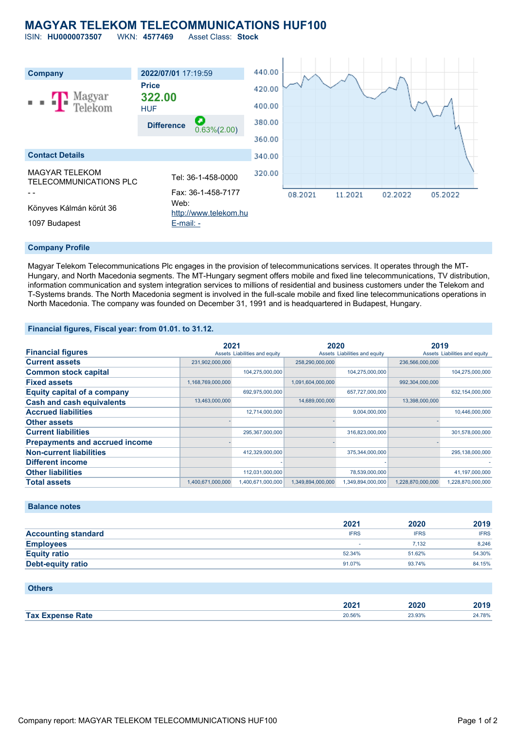## **MAGYAR TELEKOM TELECOMMUNICATIONS HUF100**

ISIN: **HU0000073507** WKN: **4577469** Asset Class: **Stock**



#### **Company Profile**

Magyar Telekom Telecommunications Plc engages in the provision of telecommunications services. It operates through the MT-Hungary, and North Macedonia segments. The MT-Hungary segment offers mobile and fixed line telecommunications, TV distribution, information communication and system integration services to millions of residential and business customers under the Telekom and T-Systems brands. The North Macedonia segment is involved in the full-scale mobile and fixed line telecommunications operations in North Macedonia. The company was founded on December 31, 1991 and is headquartered in Budapest, Hungary.

### **Financial figures, Fiscal year: from 01.01. to 31.12.**

|                                       | 2021              |                               | 2020              |                               | 2019              |                               |
|---------------------------------------|-------------------|-------------------------------|-------------------|-------------------------------|-------------------|-------------------------------|
| <b>Financial figures</b>              |                   | Assets Liabilities and equity |                   | Assets Liabilities and equity |                   | Assets Liabilities and equity |
| <b>Current assets</b>                 | 231,902,000,000   |                               | 258,290,000,000   |                               | 236,566,000,000   |                               |
| <b>Common stock capital</b>           |                   | 104,275,000,000               |                   | 104,275,000,000               |                   | 104,275,000,000               |
| <b>Fixed assets</b>                   | 1,168,769,000,000 |                               | 1,091,604,000,000 |                               | 992,304,000,000   |                               |
| <b>Equity capital of a company</b>    |                   | 692,975,000,000               |                   | 657,727,000,000               |                   | 632,154,000,000               |
| <b>Cash and cash equivalents</b>      | 13,463,000,000    |                               | 14,689,000,000    |                               | 13,398,000,000    |                               |
| <b>Accrued liabilities</b>            |                   | 12,714,000,000                |                   | 9,004,000,000                 |                   | 10,446,000,000                |
| <b>Other assets</b>                   |                   |                               |                   |                               |                   |                               |
| <b>Current liabilities</b>            |                   | 295,367,000,000               |                   | 316,823,000,000               |                   | 301,578,000,000               |
| <b>Prepayments and accrued income</b> |                   |                               |                   |                               |                   |                               |
| <b>Non-current liabilities</b>        |                   | 412,329,000,000               |                   | 375,344,000,000               |                   | 295,138,000,000               |
| <b>Different income</b>               |                   |                               |                   |                               |                   |                               |
| <b>Other liabilities</b>              |                   | 112,031,000,000               |                   | 78,539,000,000                |                   | 41,197,000,000                |
| <b>Total assets</b>                   | 1,400,671,000,000 | 1,400,671,000,000             | 1,349,894,000,000 | 1,349,894,000,000             | 1,228,870,000,000 | 1,228,870,000,000             |

### **Balance notes**

|                            | 2021        | 2020        | 2019        |
|----------------------------|-------------|-------------|-------------|
| <b>Accounting standard</b> | <b>IFRS</b> | <b>IFRS</b> | <b>IFRS</b> |
| <b>Employees</b>           |             | 7.132       | 8.246       |
| <b>Equity ratio</b>        | 52.34%      | 51.62%      | 54.30%      |
| <b>Debt-equity ratio</b>   | 91.07%      | 93.74%      | 84.15%      |

| <b>Others</b>           |        |        |        |
|-------------------------|--------|--------|--------|
|                         | 2021   | 2020   | 2019   |
| <b>Tax Expense Rate</b> | 20.56% | 23.93% | 24.78% |